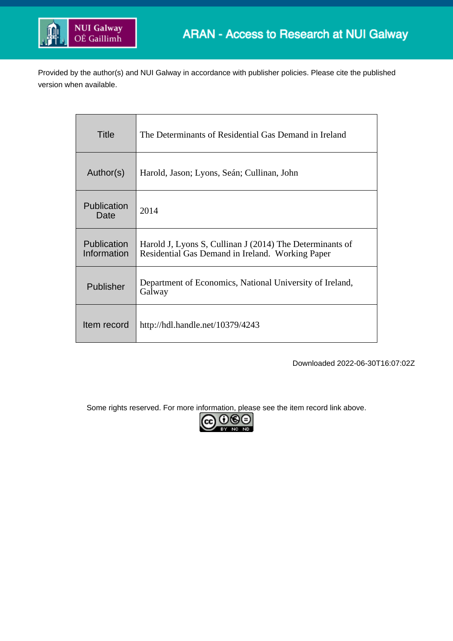

Provided by the author(s) and NUI Galway in accordance with publisher policies. Please cite the published version when available.

| Title                             | The Determinants of Residential Gas Demand in Ireland                                                        |
|-----------------------------------|--------------------------------------------------------------------------------------------------------------|
| Author(s)                         | Harold, Jason; Lyons, Seán; Cullinan, John                                                                   |
| Publication<br>Date               | 2014                                                                                                         |
| <b>Publication</b><br>Information | Harold J, Lyons S, Cullinan J (2014) The Determinants of<br>Residential Gas Demand in Ireland. Working Paper |
| Publisher                         | Department of Economics, National University of Ireland,<br>Galway                                           |
| Item record                       | http://hdl.handle.net/10379/4243                                                                             |

Downloaded 2022-06-30T16:07:02Z

Some rights reserved. For more information, please see the item record link above.

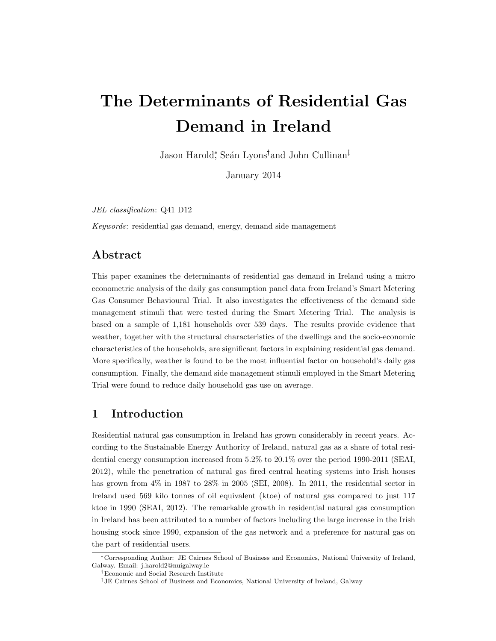# The Determinants of Residential Gas Demand in Ireland

Jason Harold, Seán Lyons<sup>†</sup>and John Cullinan<sup>‡</sup>

January 2014

JEL classification: Q41 D12

Keywords: residential gas demand, energy, demand side management

## Abstract

This paper examines the determinants of residential gas demand in Ireland using a micro econometric analysis of the daily gas consumption panel data from Ireland's Smart Metering Gas Consumer Behavioural Trial. It also investigates the effectiveness of the demand side management stimuli that were tested during the Smart Metering Trial. The analysis is based on a sample of 1,181 households over 539 days. The results provide evidence that weather, together with the structural characteristics of the dwellings and the socio-economic characteristics of the households, are significant factors in explaining residential gas demand. More specifically, weather is found to be the most influential factor on household's daily gas consumption. Finally, the demand side management stimuli employed in the Smart Metering Trial were found to reduce daily household gas use on average.

## 1 Introduction

Residential natural gas consumption in Ireland has grown considerably in recent years. According to the Sustainable Energy Authority of Ireland, natural gas as a share of total residential energy consumption increased from 5.2% to 20.1% over the period 1990-2011 (SEAI, 2012), while the penetration of natural gas fired central heating systems into Irish houses has grown from  $4\%$  in 1987 to  $28\%$  in 2005 (SEI, 2008). In 2011, the residential sector in Ireland used 569 kilo tonnes of oil equivalent (ktoe) of natural gas compared to just 117 ktoe in 1990 (SEAI, 2012). The remarkable growth in residential natural gas consumption in Ireland has been attributed to a number of factors including the large increase in the Irish housing stock since 1990, expansion of the gas network and a preference for natural gas on the part of residential users.

<sup>\*</sup>Corresponding Author: JE Cairnes School of Business and Economics, National University of Ireland, Galway. Email: j.harold2@nuigalway.ie

Economic and Social Research Institute

JE Cairnes School of Business and Economics, National University of Ireland, Galway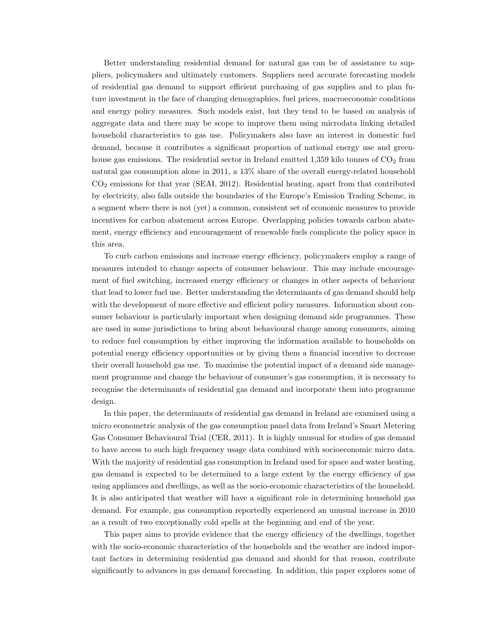Better understanding residential demand for natural gas can be of assistance to suppliers, policymakers and ultimately customers. Suppliers need accurate forecasting models of residential gas demand to support efficient purchasing of gas supplies and to plan future investment in the face of changing demographics, fuel prices, macroeconomic conditions and energy policy measures. Such models exist, but they tend to be based on analysis of aggregate data and there may be scope to improve them using microdata linking detailed household characteristics to gas use. Policymakers also have an interest in domestic fuel demand, because it contributes a significant proportion of national energy use and greenhouse gas emissions. The residential sector in Ireland emitted  $1,359$  kilo tonnes of  $CO<sub>2</sub>$  from natural gas consumption alone in 2011, a 13% share of the overall energy-related household CO<sup>2</sup> emissions for that year (SEAI, 2012). Residential heating, apart from that contributed by electricity, also falls outside the boundaries of the Europe's Emission Trading Scheme, in a segment where there is not (yet) a common, consistent set of economic measures to provide incentives for carbon abatement across Europe. Overlapping policies towards carbon abatement, energy efficiency and encouragement of renewable fuels complicate the policy space in this area.

To curb carbon emissions and increase energy efficiency, policymakers employ a range of measures intended to change aspects of consumer behaviour. This may include encouragement of fuel switching, increased energy efficiency or changes in other aspects of behaviour that lead to lower fuel use. Better understanding the determinants of gas demand should help with the development of more effective and efficient policy measures. Information about consumer behaviour is particularly important when designing demand side programmes. These are used in some jurisdictions to bring about behavioural change among consumers, aiming to reduce fuel consumption by either improving the information available to households on potential energy efficiency opportunities or by giving them a financial incentive to decrease their overall household gas use. To maximise the potential impact of a demand side management programme and change the behaviour of consumer's gas consumption, it is necessary to recognise the determinants of residential gas demand and incorporate them into programme design.

In this paper, the determinants of residential gas demand in Ireland are examined using a micro econometric analysis of the gas consumption panel data from Ireland's Smart Metering Gas Consumer Behavioural Trial (CER, 2011). It is highly unusual for studies of gas demand to have access to such high frequency usage data combined with socioeconomic micro data. With the majority of residential gas consumption in Ireland used for space and water heating, gas demand is expected to be determined to a large extent by the energy efficiency of gas using appliances and dwellings, as well as the socio-economic characteristics of the household. It is also anticipated that weather will have a significant role in determining household gas demand. For example, gas consumption reportedly experienced an unusual increase in 2010 as a result of two exceptionally cold spells at the beginning and end of the year.

This paper aims to provide evidence that the energy efficiency of the dwellings, together with the socio-economic characteristics of the households and the weather are indeed important factors in determining residential gas demand and should for that reason, contribute significantly to advances in gas demand forecasting. In addition, this paper explores some of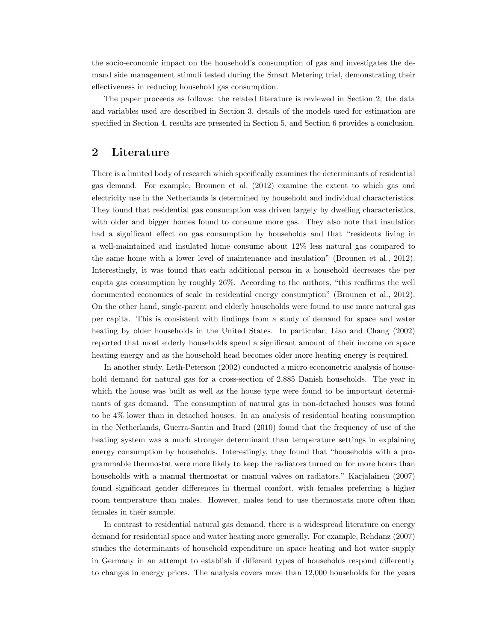the socio-economic impact on the household's consumption of gas and investigates the demand side management stimuli tested during the Smart Metering trial, demonstrating their effectiveness in reducing household gas consumption.

The paper proceeds as follows: the related literature is reviewed in Section 2, the data and variables used are described in Section 3, details of the models used for estimation are specified in Section 4, results are presented in Section 5, and Section 6 provides a conclusion.

## 2 Literature

There is a limited body of research which specifically examines the determinants of residential gas demand. For example, Brounen et al. (2012) examine the extent to which gas and electricity use in the Netherlands is determined by household and individual characteristics. They found that residential gas consumption was driven largely by dwelling characteristics, with older and bigger homes found to consume more gas. They also note that insulation had a significant effect on gas consumption by households and that "residents living in a well-maintained and insulated home consume about 12% less natural gas compared to the same home with a lower level of maintenance and insulation" (Brounen et al., 2012). Interestingly, it was found that each additional person in a household decreases the per capita gas consumption by roughly 26%. According to the authors, "this reaffirms the well documented economies of scale in residential energy consumption" (Brounen et al., 2012). On the other hand, single-parent and elderly households were found to use more natural gas per capita. This is consistent with findings from a study of demand for space and water heating by older households in the United States. In particular, Liao and Chang (2002) reported that most elderly households spend a significant amount of their income on space heating energy and as the household head becomes older more heating energy is required.

In another study, Leth-Peterson (2002) conducted a micro econometric analysis of household demand for natural gas for a cross-section of 2,885 Danish households. The year in which the house was built as well as the house type were found to be important determinants of gas demand. The consumption of natural gas in non-detached houses was found to be 4% lower than in detached houses. In an analysis of residential heating consumption in the Netherlands, Guerra-Santin and Itard (2010) found that the frequency of use of the heating system was a much stronger determinant than temperature settings in explaining energy consumption by households. Interestingly, they found that "households with a programmable thermostat were more likely to keep the radiators turned on for more hours than households with a manual thermostat or manual valves on radiators." Karjalainen (2007) found significant gender differences in thermal comfort, with females preferring a higher room temperature than males. However, males tend to use thermostats more often than females in their sample.

In contrast to residential natural gas demand, there is a widespread literature on energy demand for residential space and water heating more generally. For example, Rehdanz (2007) studies the determinants of household expenditure on space heating and hot water supply in Germany in an attempt to establish if different types of households respond differently to changes in energy prices. The analysis covers more than 12,000 households for the years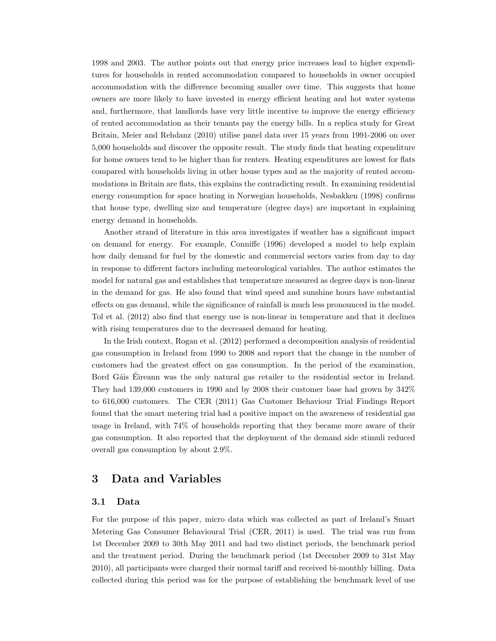1998 and 2003. The author points out that energy price increases lead to higher expenditures for households in rented accommodation compared to households in owner occupied accommodation with the difference becoming smaller over time. This suggests that home owners are more likely to have invested in energy efficient heating and hot water systems and, furthermore, that landlords have very little incentive to improve the energy efficiency of rented accommodation as their tenants pay the energy bills. In a replica study for Great Britain, Meier and Rehdanz (2010) utilise panel data over 15 years from 1991-2006 on over 5,000 households and discover the opposite result. The study finds that heating expenditure for home owners tend to be higher than for renters. Heating expenditures are lowest for flats compared with households living in other house types and as the majority of rented accommodations in Britain are flats, this explains the contradicting result. In examining residential energy consumption for space heating in Norwegian households, Nesbakken (1998) confirms that house type, dwelling size and temperature (degree days) are important in explaining energy demand in households.

Another strand of literature in this area investigates if weather has a significant impact on demand for energy. For example, Conniffe (1996) developed a model to help explain how daily demand for fuel by the domestic and commercial sectors varies from day to day in response to different factors including meteorological variables. The author estimates the model for natural gas and establishes that temperature measured as degree days is non-linear in the demand for gas. He also found that wind speed and sunshine hours have substantial effects on gas demand, while the significance of rainfall is much less pronounced in the model. Tol et al. (2012) also find that energy use is non-linear in temperature and that it declines with rising temperatures due to the decreased demand for heating.

In the Irish context, Rogan et al. (2012) performed a decomposition analysis of residential gas consumption in Ireland from 1990 to 2008 and report that the change in the number of customers had the greatest effect on gas consumption. In the period of the examination, Bord Gáis Éireann was the only natural gas retailer to the residential sector in Ireland. They had 139,000 customers in 1990 and by 2008 their customer base had grown by 342% to 616,000 customers. The CER (2011) Gas Customer Behaviour Trial Findings Report found that the smart metering trial had a positive impact on the awareness of residential gas usage in Ireland, with 74% of households reporting that they became more aware of their gas consumption. It also reported that the deployment of the demand side stimuli reduced overall gas consumption by about 2.9%.

## 3 Data and Variables

#### 3.1 Data

For the purpose of this paper, micro data which was collected as part of Ireland's Smart Metering Gas Consumer Behavioural Trial (CER, 2011) is used. The trial was run from 1st December 2009 to 30th May 2011 and had two distinct periods, the benchmark period and the treatment period. During the benchmark period (1st December 2009 to 31st May 2010), all participants were charged their normal tariff and received bi-monthly billing. Data collected during this period was for the purpose of establishing the benchmark level of use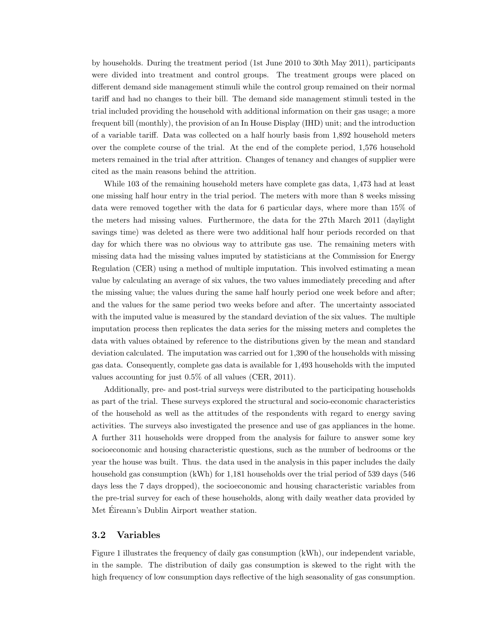by households. During the treatment period (1st June 2010 to 30th May 2011), participants were divided into treatment and control groups. The treatment groups were placed on different demand side management stimuli while the control group remained on their normal tariff and had no changes to their bill. The demand side management stimuli tested in the trial included providing the household with additional information on their gas usage; a more frequent bill (monthly), the provision of an In House Display (IHD) unit; and the introduction of a variable tariff. Data was collected on a half hourly basis from 1,892 household meters over the complete course of the trial. At the end of the complete period, 1,576 household meters remained in the trial after attrition. Changes of tenancy and changes of supplier were cited as the main reasons behind the attrition.

While 103 of the remaining household meters have complete gas data, 1,473 had at least one missing half hour entry in the trial period. The meters with more than 8 weeks missing data were removed together with the data for 6 particular days, where more than 15% of the meters had missing values. Furthermore, the data for the 27th March 2011 (daylight savings time) was deleted as there were two additional half hour periods recorded on that day for which there was no obvious way to attribute gas use. The remaining meters with missing data had the missing values imputed by statisticians at the Commission for Energy Regulation (CER) using a method of multiple imputation. This involved estimating a mean value by calculating an average of six values, the two values immediately preceding and after the missing value; the values during the same half hourly period one week before and after; and the values for the same period two weeks before and after. The uncertainty associated with the imputed value is measured by the standard deviation of the six values. The multiple imputation process then replicates the data series for the missing meters and completes the data with values obtained by reference to the distributions given by the mean and standard deviation calculated. The imputation was carried out for 1,390 of the households with missing gas data. Consequently, complete gas data is available for 1,493 households with the imputed values accounting for just 0.5% of all values (CER, 2011).

Additionally, pre- and post-trial surveys were distributed to the participating households as part of the trial. These surveys explored the structural and socio-economic characteristics of the household as well as the attitudes of the respondents with regard to energy saving activities. The surveys also investigated the presence and use of gas appliances in the home. A further 311 households were dropped from the analysis for failure to answer some key socioeconomic and housing characteristic questions, such as the number of bedrooms or the year the house was built. Thus. the data used in the analysis in this paper includes the daily household gas consumption (kWh) for 1,181 households over the trial period of 539 days (546 days less the 7 days dropped), the socioeconomic and housing characteristic variables from the pre-trial survey for each of these households, along with daily weather data provided by Met Eireann's Dublin Airport weather station.

### 3.2 Variables

Figure 1 illustrates the frequency of daily gas consumption (kWh), our independent variable, in the sample. The distribution of daily gas consumption is skewed to the right with the high frequency of low consumption days reflective of the high seasonality of gas consumption.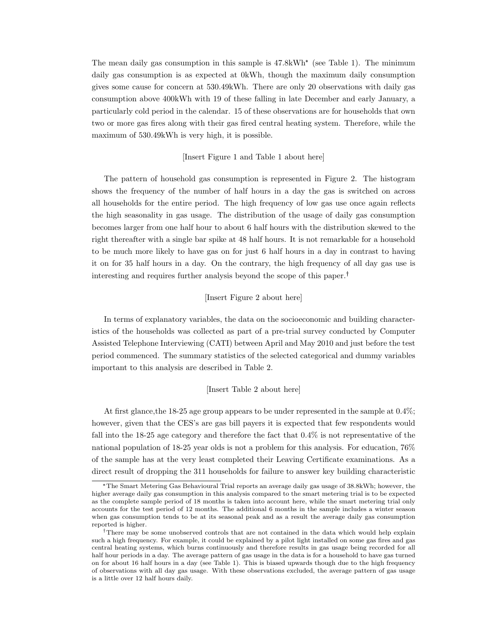The mean daily gas consumption in this sample is  $47.8 \text{kWh}^*$  (see Table 1). The minimum daily gas consumption is as expected at 0kWh, though the maximum daily consumption gives some cause for concern at 530.49kWh. There are only 20 observations with daily gas consumption above 400kWh with 19 of these falling in late December and early January, a particularly cold period in the calendar. 15 of these observations are for households that own two or more gas fires along with their gas fired central heating system. Therefore, while the maximum of 530.49kWh is very high, it is possible.

#### [Insert Figure 1 and Table 1 about here]

The pattern of household gas consumption is represented in Figure 2. The histogram shows the frequency of the number of half hours in a day the gas is switched on across all households for the entire period. The high frequency of low gas use once again reflects the high seasonality in gas usage. The distribution of the usage of daily gas consumption becomes larger from one half hour to about 6 half hours with the distribution skewed to the right thereafter with a single bar spike at 48 half hours. It is not remarkable for a household to be much more likely to have gas on for just 6 half hours in a day in contrast to having it on for 35 half hours in a day. On the contrary, the high frequency of all day gas use is interesting and requires further analysis beyond the scope of this paper.

#### [Insert Figure 2 about here]

In terms of explanatory variables, the data on the socioeconomic and building characteristics of the households was collected as part of a pre-trial survey conducted by Computer Assisted Telephone Interviewing (CATI) between April and May 2010 and just before the test period commenced. The summary statistics of the selected categorical and dummy variables important to this analysis are described in Table 2.

#### [Insert Table 2 about here]

At first glance,the 18-25 age group appears to be under represented in the sample at 0.4%; however, given that the CES's are gas bill payers it is expected that few respondents would fall into the 18-25 age category and therefore the fact that 0.4% is not representative of the national population of 18-25 year olds is not a problem for this analysis. For education, 76% of the sample has at the very least completed their Leaving Certificate examinations. As a direct result of dropping the 311 households for failure to answer key building characteristic

<sup>\*</sup>The Smart Metering Gas Behavioural Trial reports an average daily gas usage of 38.8kWh; however, the higher average daily gas consumption in this analysis compared to the smart metering trial is to be expected as the complete sample period of 18 months is taken into account here, while the smart metering trial only accounts for the test period of 12 months. The additional 6 months in the sample includes a winter season when gas consumption tends to be at its seasonal peak and as a result the average daily gas consumption reported is higher.

There may be some unobserved controls that are not contained in the data which would help explain such a high frequency. For example, it could be explained by a pilot light installed on some gas fires and gas central heating systems, which burns continuously and therefore results in gas usage being recorded for all half hour periods in a day. The average pattern of gas usage in the data is for a household to have gas turned on for about 16 half hours in a day (see Table 1). This is biased upwards though due to the high frequency of observations with all day gas usage. With these observations excluded, the average pattern of gas usage is a little over 12 half hours daily.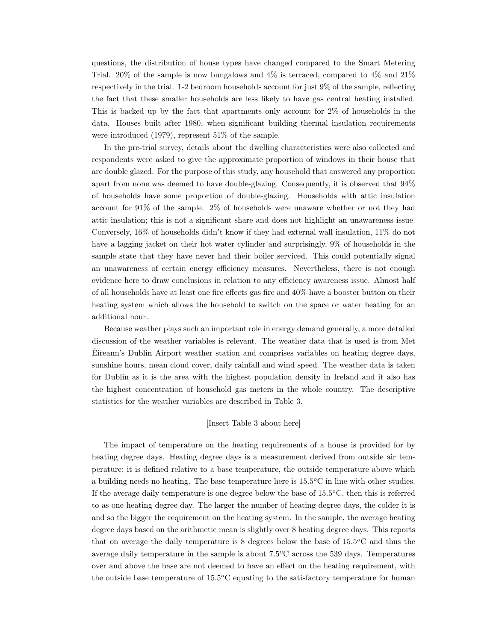questions, the distribution of house types have changed compared to the Smart Metering Trial. 20% of the sample is now bungalows and 4% is terraced, compared to 4% and 21% respectively in the trial. 1-2 bedroom households account for just 9% of the sample, reflecting the fact that these smaller households are less likely to have gas central heating installed. This is backed up by the fact that apartments only account for 2% of households in the data. Houses built after 1980, when significant building thermal insulation requirements were introduced (1979), represent 51% of the sample.

In the pre-trial survey, details about the dwelling characteristics were also collected and respondents were asked to give the approximate proportion of windows in their house that are double glazed. For the purpose of this study, any household that answered any proportion apart from none was deemed to have double-glazing. Consequently, it is observed that 94% of households have some proportion of double-glazing. Households with attic insulation account for 91% of the sample. 2% of households were unaware whether or not they had attic insulation; this is not a significant share and does not highlight an unawareness issue. Conversely, 16% of households didn't know if they had external wall insulation, 11% do not have a lagging jacket on their hot water cylinder and surprisingly, 9% of households in the sample state that they have never had their boiler serviced. This could potentially signal an unawareness of certain energy efficiency measures. Nevertheless, there is not enough evidence here to draw conclusions in relation to any efficiency awareness issue. Almost half of all households have at least one fire effects gas fire and 40% have a booster button on their heating system which allows the household to switch on the space or water heating for an additional hour.

Because weather plays such an important role in energy demand generally, a more detailed discussion of the weather variables is relevant. The weather data that is used is from Met Eireann's Dublin Airport weather station and comprises variables on heating degree days, ´ sunshine hours, mean cloud cover, daily rainfall and wind speed. The weather data is taken for Dublin as it is the area with the highest population density in Ireland and it also has the highest concentration of household gas meters in the whole country. The descriptive statistics for the weather variables are described in Table 3.

#### [Insert Table 3 about here]

The impact of temperature on the heating requirements of a house is provided for by heating degree days. Heating degree days is a measurement derived from outside air temperature; it is defined relative to a base temperature, the outside temperature above which a building needs no heating. The base temperature here is  $15.5^{\circ}$ C in line with other studies. If the average daily temperature is one degree below the base of  $15.5^{\circ}$ C, then this is referred to as one heating degree day. The larger the number of heating degree days, the colder it is and so the bigger the requirement on the heating system. In the sample, the average heating degree days based on the arithmetic mean is slightly over 8 heating degree days. This reports that on average the daily temperature is  $8$  degrees below the base of  $15.5^{\circ}$ C and thus the average daily temperature in the sample is about  $7.5^{\circ}$ C across the 539 days. Temperatures over and above the base are not deemed to have an effect on the heating requirement, with the outside base temperature of  $15.5^{\circ}$ C equating to the satisfactory temperature for human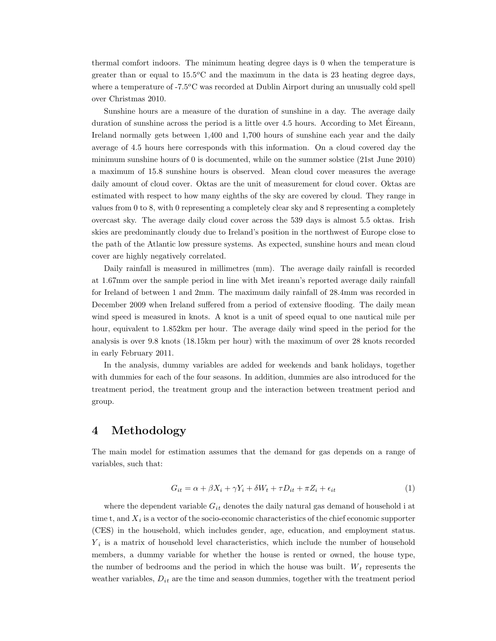thermal comfort indoors. The minimum heating degree days is 0 when the temperature is greater than or equal to  $15.5^{\circ}$ C and the maximum in the data is 23 heating degree days, where a temperature of  $-7.5^{\circ}$ C was recorded at Dublin Airport during an unusually cold spell over Christmas 2010.

Sunshine hours are a measure of the duration of sunshine in a day. The average daily duration of sunshine across the period is a little over 4.5 hours. According to Met Eireann, Ireland normally gets between 1,400 and 1,700 hours of sunshine each year and the daily average of 4.5 hours here corresponds with this information. On a cloud covered day the minimum sunshine hours of 0 is documented, while on the summer solstice (21st June 2010) a maximum of 15.8 sunshine hours is observed. Mean cloud cover measures the average daily amount of cloud cover. Oktas are the unit of measurement for cloud cover. Oktas are estimated with respect to how many eighths of the sky are covered by cloud. They range in values from 0 to 8, with 0 representing a completely clear sky and 8 representing a completely overcast sky. The average daily cloud cover across the 539 days is almost 5.5 oktas. Irish skies are predominantly cloudy due to Ireland's position in the northwest of Europe close to the path of the Atlantic low pressure systems. As expected, sunshine hours and mean cloud cover are highly negatively correlated.

Daily rainfall is measured in millimetres (mm). The average daily rainfall is recorded at 1.67mm over the sample period in line with Met ireann's reported average daily rainfall for Ireland of between 1 and 2mm. The maximum daily rainfall of 28.4mm was recorded in December 2009 when Ireland suffered from a period of extensive flooding. The daily mean wind speed is measured in knots. A knot is a unit of speed equal to one nautical mile per hour, equivalent to 1.852km per hour. The average daily wind speed in the period for the analysis is over 9.8 knots (18.15km per hour) with the maximum of over 28 knots recorded in early February 2011.

In the analysis, dummy variables are added for weekends and bank holidays, together with dummies for each of the four seasons. In addition, dummies are also introduced for the treatment period, the treatment group and the interaction between treatment period and group.

## 4 Methodology

The main model for estimation assumes that the demand for gas depends on a range of variables, such that:

$$
G_{it} = \alpha + \beta X_i + \gamma Y_i + \delta W_t + \tau D_{it} + \pi Z_i + \epsilon_{it}
$$
\n<sup>(1)</sup>

where the dependent variable  $G_{it}$  denotes the daily natural gas demand of household i at time t, and  $X_i$  is a vector of the socio-economic characteristics of the chief economic supporter (CES) in the household, which includes gender, age, education, and employment status.  $Y_i$  is a matrix of household level characteristics, which include the number of household members, a dummy variable for whether the house is rented or owned, the house type, the number of bedrooms and the period in which the house was built.  $W_t$  represents the weather variables,  $D_{it}$  are the time and season dummies, together with the treatment period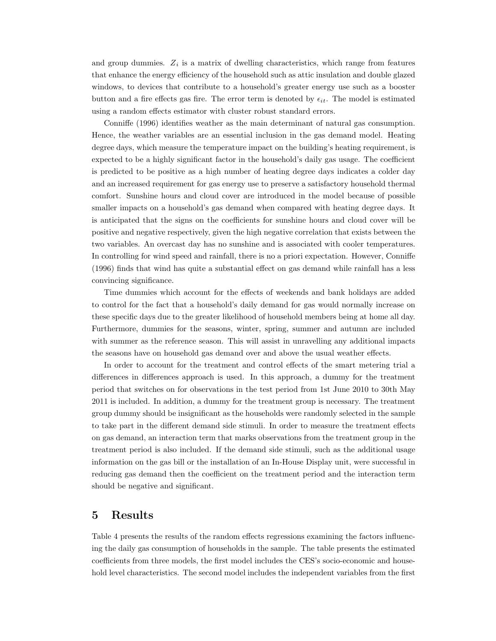and group dummies.  $Z_i$  is a matrix of dwelling characteristics, which range from features that enhance the energy efficiency of the household such as attic insulation and double glazed windows, to devices that contribute to a household's greater energy use such as a booster button and a fire effects gas fire. The error term is denoted by  $\epsilon_{it}$ . The model is estimated using a random effects estimator with cluster robust standard errors.

Conniffe (1996) identifies weather as the main determinant of natural gas consumption. Hence, the weather variables are an essential inclusion in the gas demand model. Heating degree days, which measure the temperature impact on the building's heating requirement, is expected to be a highly significant factor in the household's daily gas usage. The coefficient is predicted to be positive as a high number of heating degree days indicates a colder day and an increased requirement for gas energy use to preserve a satisfactory household thermal comfort. Sunshine hours and cloud cover are introduced in the model because of possible smaller impacts on a household's gas demand when compared with heating degree days. It is anticipated that the signs on the coefficients for sunshine hours and cloud cover will be positive and negative respectively, given the high negative correlation that exists between the two variables. An overcast day has no sunshine and is associated with cooler temperatures. In controlling for wind speed and rainfall, there is no a priori expectation. However, Conniffe (1996) finds that wind has quite a substantial effect on gas demand while rainfall has a less convincing significance.

Time dummies which account for the effects of weekends and bank holidays are added to control for the fact that a household's daily demand for gas would normally increase on these specific days due to the greater likelihood of household members being at home all day. Furthermore, dummies for the seasons, winter, spring, summer and autumn are included with summer as the reference season. This will assist in unravelling any additional impacts the seasons have on household gas demand over and above the usual weather effects.

In order to account for the treatment and control effects of the smart metering trial a differences in differences approach is used. In this approach, a dummy for the treatment period that switches on for observations in the test period from 1st June 2010 to 30th May 2011 is included. In addition, a dummy for the treatment group is necessary. The treatment group dummy should be insignificant as the households were randomly selected in the sample to take part in the different demand side stimuli. In order to measure the treatment effects on gas demand, an interaction term that marks observations from the treatment group in the treatment period is also included. If the demand side stimuli, such as the additional usage information on the gas bill or the installation of an In-House Display unit, were successful in reducing gas demand then the coefficient on the treatment period and the interaction term should be negative and significant.

## 5 Results

Table 4 presents the results of the random effects regressions examining the factors influencing the daily gas consumption of households in the sample. The table presents the estimated coefficients from three models, the first model includes the CES's socio-economic and household level characteristics. The second model includes the independent variables from the first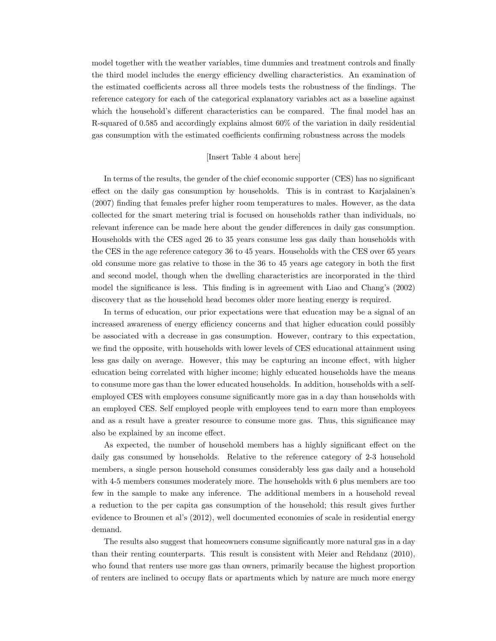model together with the weather variables, time dummies and treatment controls and finally the third model includes the energy efficiency dwelling characteristics. An examination of the estimated coefficients across all three models tests the robustness of the findings. The reference category for each of the categorical explanatory variables act as a baseline against which the household's different characteristics can be compared. The final model has an R-squared of 0.585 and accordingly explains almost 60% of the variation in daily residential gas consumption with the estimated coefficients confirming robustness across the models

#### [Insert Table 4 about here]

In terms of the results, the gender of the chief economic supporter (CES) has no significant effect on the daily gas consumption by households. This is in contrast to Karjalainen's (2007) finding that females prefer higher room temperatures to males. However, as the data collected for the smart metering trial is focused on households rather than individuals, no relevant inference can be made here about the gender differences in daily gas consumption. Households with the CES aged 26 to 35 years consume less gas daily than households with the CES in the age reference category 36 to 45 years. Households with the CES over 65 years old consume more gas relative to those in the 36 to 45 years age category in both the first and second model, though when the dwelling characteristics are incorporated in the third model the significance is less. This finding is in agreement with Liao and Chang's (2002) discovery that as the household head becomes older more heating energy is required.

In terms of education, our prior expectations were that education may be a signal of an increased awareness of energy efficiency concerns and that higher education could possibly be associated with a decrease in gas consumption. However, contrary to this expectation, we find the opposite, with households with lower levels of CES educational attainment using less gas daily on average. However, this may be capturing an income effect, with higher education being correlated with higher income; highly educated households have the means to consume more gas than the lower educated households. In addition, households with a selfemployed CES with employees consume significantly more gas in a day than households with an employed CES. Self employed people with employees tend to earn more than employees and as a result have a greater resource to consume more gas. Thus, this significance may also be explained by an income effect.

As expected, the number of household members has a highly significant effect on the daily gas consumed by households. Relative to the reference category of 2-3 household members, a single person household consumes considerably less gas daily and a household with 4-5 members consumes moderately more. The households with 6 plus members are too few in the sample to make any inference. The additional members in a household reveal a reduction to the per capita gas consumption of the household; this result gives further evidence to Brounen et al's (2012), well documented economies of scale in residential energy demand.

The results also suggest that homeowners consume significantly more natural gas in a day than their renting counterparts. This result is consistent with Meier and Rehdanz (2010), who found that renters use more gas than owners, primarily because the highest proportion of renters are inclined to occupy flats or apartments which by nature are much more energy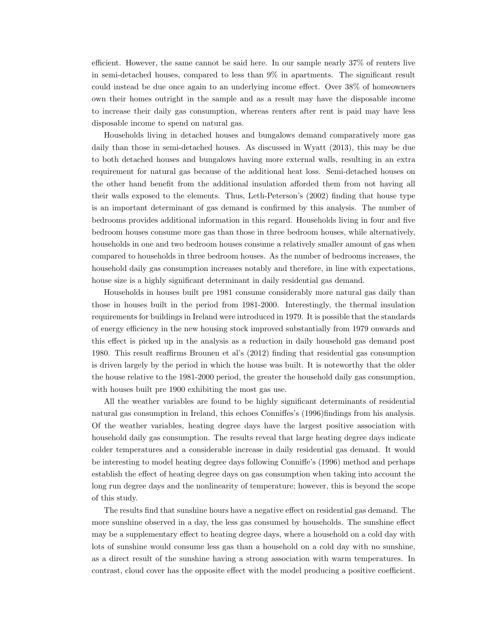efficient. However, the same cannot be said here. In our sample nearly 37% of renters live in semi-detached houses, compared to less than 9% in apartments. The significant result could instead be due once again to an underlying income effect. Over 38% of homeowners own their homes outright in the sample and as a result may have the disposable income to increase their daily gas consumption, whereas renters after rent is paid may have less disposable income to spend on natural gas.

Households living in detached houses and bungalows demand comparatively more gas daily than those in semi-detached houses. As discussed in Wyatt (2013), this may be due to both detached houses and bungalows having more external walls, resulting in an extra requirement for natural gas because of the additional heat loss. Semi-detached houses on the other hand benefit from the additional insulation afforded them from not having all their walls exposed to the elements. Thus, Leth-Peterson's (2002) finding that house type is an important determinant of gas demand is confirmed by this analysis. The number of bedrooms provides additional information in this regard. Households living in four and five bedroom houses consume more gas than those in three bedroom houses, while alternatively, households in one and two bedroom houses consume a relatively smaller amount of gas when compared to households in three bedroom houses. As the number of bedrooms increases, the household daily gas consumption increases notably and therefore, in line with expectations, house size is a highly significant determinant in daily residential gas demand.

Households in houses built pre 1981 consume considerably more natural gas daily than those in houses built in the period from 1981-2000. Interestingly, the thermal insulation requirements for buildings in Ireland were introduced in 1979. It is possible that the standards of energy efficiency in the new housing stock improved substantially from 1979 onwards and this effect is picked up in the analysis as a reduction in daily household gas demand post 1980. This result reaffirms Brounen et al's (2012) finding that residential gas consumption is driven largely by the period in which the house was built. It is noteworthy that the older the house relative to the 1981-2000 period, the greater the household daily gas consumption, with houses built pre 1900 exhibiting the most gas use.

All the weather variables are found to be highly significant determinants of residential natural gas consumption in Ireland, this echoes Conniffes's (1996)findings from his analysis. Of the weather variables, heating degree days have the largest positive association with household daily gas consumption. The results reveal that large heating degree days indicate colder temperatures and a considerable increase in daily residential gas demand. It would be interesting to model heating degree days following Conniffe's (1996) method and perhaps establish the effect of heating degree days on gas consumption when taking into account the long run degree days and the nonlinearity of temperature; however, this is beyond the scope of this study.

The results find that sunshine hours have a negative effect on residential gas demand. The more sunshine observed in a day, the less gas consumed by households. The sunshine effect may be a supplementary effect to heating degree days, where a household on a cold day with lots of sunshine would consume less gas than a household on a cold day with no sunshine, as a direct result of the sunshine having a strong association with warm temperatures. In contrast, cloud cover has the opposite effect with the model producing a positive coefficient.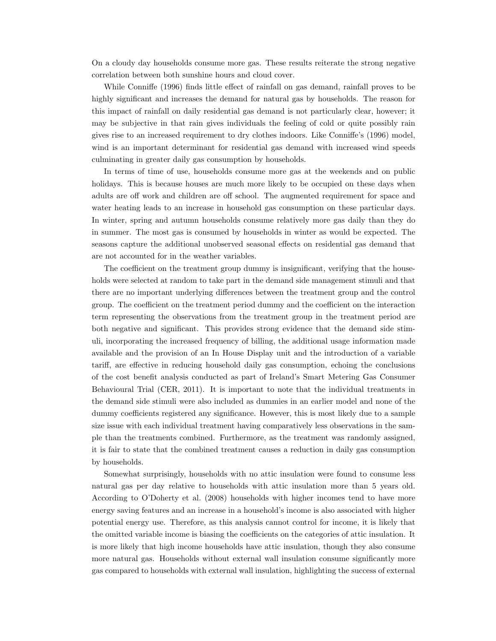On a cloudy day households consume more gas. These results reiterate the strong negative correlation between both sunshine hours and cloud cover.

While Conniffe (1996) finds little effect of rainfall on gas demand, rainfall proves to be highly significant and increases the demand for natural gas by households. The reason for this impact of rainfall on daily residential gas demand is not particularly clear, however; it may be subjective in that rain gives individuals the feeling of cold or quite possibly rain gives rise to an increased requirement to dry clothes indoors. Like Conniffe's (1996) model, wind is an important determinant for residential gas demand with increased wind speeds culminating in greater daily gas consumption by households.

In terms of time of use, households consume more gas at the weekends and on public holidays. This is because houses are much more likely to be occupied on these days when adults are off work and children are off school. The augmented requirement for space and water heating leads to an increase in household gas consumption on these particular days. In winter, spring and autumn households consume relatively more gas daily than they do in summer. The most gas is consumed by households in winter as would be expected. The seasons capture the additional unobserved seasonal effects on residential gas demand that are not accounted for in the weather variables.

The coefficient on the treatment group dummy is insignificant, verifying that the households were selected at random to take part in the demand side management stimuli and that there are no important underlying differences between the treatment group and the control group. The coefficient on the treatment period dummy and the coefficient on the interaction term representing the observations from the treatment group in the treatment period are both negative and significant. This provides strong evidence that the demand side stimuli, incorporating the increased frequency of billing, the additional usage information made available and the provision of an In House Display unit and the introduction of a variable tariff, are effective in reducing household daily gas consumption, echoing the conclusions of the cost benefit analysis conducted as part of Ireland's Smart Metering Gas Consumer Behavioural Trial (CER, 2011). It is important to note that the individual treatments in the demand side stimuli were also included as dummies in an earlier model and none of the dummy coefficients registered any significance. However, this is most likely due to a sample size issue with each individual treatment having comparatively less observations in the sample than the treatments combined. Furthermore, as the treatment was randomly assigned, it is fair to state that the combined treatment causes a reduction in daily gas consumption by households.

Somewhat surprisingly, households with no attic insulation were found to consume less natural gas per day relative to households with attic insulation more than 5 years old. According to O'Doherty et al. (2008) households with higher incomes tend to have more energy saving features and an increase in a household's income is also associated with higher potential energy use. Therefore, as this analysis cannot control for income, it is likely that the omitted variable income is biasing the coefficients on the categories of attic insulation. It is more likely that high income households have attic insulation, though they also consume more natural gas. Households without external wall insulation consume significantly more gas compared to households with external wall insulation, highlighting the success of external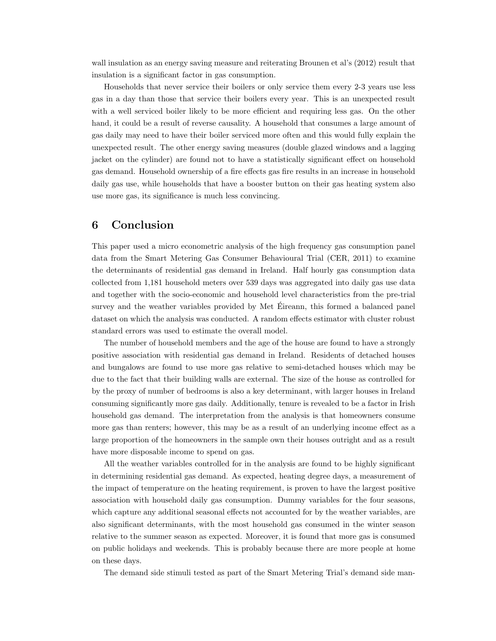wall insulation as an energy saving measure and reiterating Brounen et al's (2012) result that insulation is a significant factor in gas consumption.

Households that never service their boilers or only service them every 2-3 years use less gas in a day than those that service their boilers every year. This is an unexpected result with a well serviced boiler likely to be more efficient and requiring less gas. On the other hand, it could be a result of reverse causality. A household that consumes a large amount of gas daily may need to have their boiler serviced more often and this would fully explain the unexpected result. The other energy saving measures (double glazed windows and a lagging jacket on the cylinder) are found not to have a statistically significant effect on household gas demand. Household ownership of a fire effects gas fire results in an increase in household daily gas use, while households that have a booster button on their gas heating system also use more gas, its significance is much less convincing.

## 6 Conclusion

This paper used a micro econometric analysis of the high frequency gas consumption panel data from the Smart Metering Gas Consumer Behavioural Trial (CER, 2011) to examine the determinants of residential gas demand in Ireland. Half hourly gas consumption data collected from 1,181 household meters over 539 days was aggregated into daily gas use data and together with the socio-economic and household level characteristics from the pre-trial survey and the weather variables provided by Met Éireann, this formed a balanced panel dataset on which the analysis was conducted. A random effects estimator with cluster robust standard errors was used to estimate the overall model.

The number of household members and the age of the house are found to have a strongly positive association with residential gas demand in Ireland. Residents of detached houses and bungalows are found to use more gas relative to semi-detached houses which may be due to the fact that their building walls are external. The size of the house as controlled for by the proxy of number of bedrooms is also a key determinant, with larger houses in Ireland consuming significantly more gas daily. Additionally, tenure is revealed to be a factor in Irish household gas demand. The interpretation from the analysis is that homeowners consume more gas than renters; however, this may be as a result of an underlying income effect as a large proportion of the homeowners in the sample own their houses outright and as a result have more disposable income to spend on gas.

All the weather variables controlled for in the analysis are found to be highly significant in determining residential gas demand. As expected, heating degree days, a measurement of the impact of temperature on the heating requirement, is proven to have the largest positive association with household daily gas consumption. Dummy variables for the four seasons, which capture any additional seasonal effects not accounted for by the weather variables, are also significant determinants, with the most household gas consumed in the winter season relative to the summer season as expected. Moreover, it is found that more gas is consumed on public holidays and weekends. This is probably because there are more people at home on these days.

The demand side stimuli tested as part of the Smart Metering Trial's demand side man-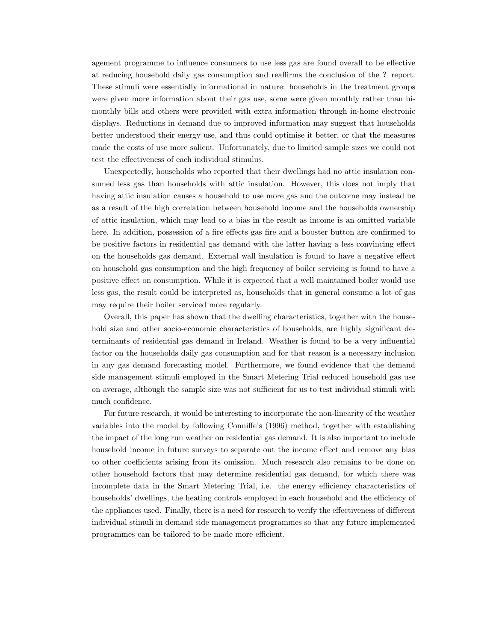agement programme to influence consumers to use less gas are found overall to be effective at reducing household daily gas consumption and reaffirms the conclusion of the ? report. These stimuli were essentially informational in nature: households in the treatment groups were given more information about their gas use, some were given monthly rather than bimonthly bills and others were provided with extra information through in-home electronic displays. Reductions in demand due to improved information may suggest that households better understood their energy use, and thus could optimise it better, or that the measures made the costs of use more salient. Unfortunately, due to limited sample sizes we could not test the effectiveness of each individual stimulus.

Unexpectedly, households who reported that their dwellings had no attic insulation consumed less gas than households with attic insulation. However, this does not imply that having attic insulation causes a household to use more gas and the outcome may instead be as a result of the high correlation between household income and the households ownership of attic insulation, which may lead to a bias in the result as income is an omitted variable here. In addition, possession of a fire effects gas fire and a booster button are confirmed to be positive factors in residential gas demand with the latter having a less convincing effect on the households gas demand. External wall insulation is found to have a negative effect on household gas consumption and the high frequency of boiler servicing is found to have a positive effect on consumption. While it is expected that a well maintained boiler would use less gas, the result could be interpreted as, households that in general consume a lot of gas may require their boiler serviced more regularly.

Overall, this paper has shown that the dwelling characteristics, together with the household size and other socio-economic characteristics of households, are highly significant determinants of residential gas demand in Ireland. Weather is found to be a very influential factor on the households daily gas consumption and for that reason is a necessary inclusion in any gas demand forecasting model. Furthermore, we found evidence that the demand side management stimuli employed in the Smart Metering Trial reduced household gas use on average, although the sample size was not sufficient for us to test individual stimuli with much confidence.

For future research, it would be interesting to incorporate the non-linearity of the weather variables into the model by following Conniffe's (1996) method, together with establishing the impact of the long run weather on residential gas demand. It is also important to include household income in future surveys to separate out the income effect and remove any bias to other coefficients arising from its omission. Much research also remains to be done on other household factors that may determine residential gas demand, for which there was incomplete data in the Smart Metering Trial, i.e. the energy efficiency characteristics of households' dwellings, the heating controls employed in each household and the efficiency of the appliances used. Finally, there is a need for research to verify the effectiveness of different individual stimuli in demand side management programmes so that any future implemented programmes can be tailored to be made more efficient.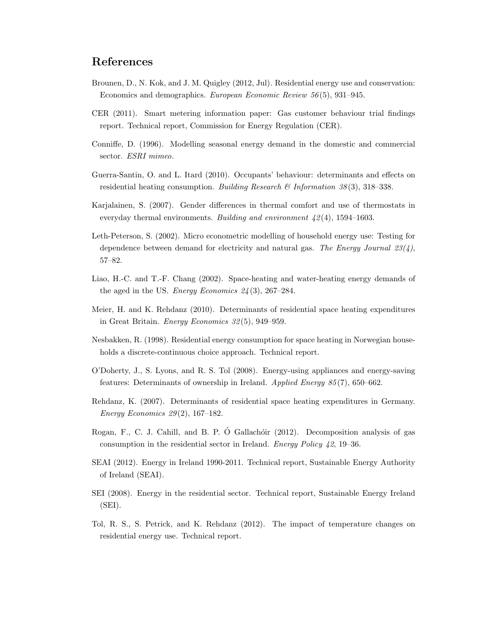## References

- Brounen, D., N. Kok, and J. M. Quigley (2012, Jul). Residential energy use and conservation: Economics and demographics. European Economic Review 56 (5), 931–945.
- CER (2011). Smart metering information paper: Gas customer behaviour trial findings report. Technical report, Commission for Energy Regulation (CER).
- Conniffe, D. (1996). Modelling seasonal energy demand in the domestic and commercial sector. ESRI mimeo.
- Guerra-Santin, O. and L. Itard (2010). Occupants' behaviour: determinants and effects on residential heating consumption. Building Research  $\mathcal{C}$  Information 38(3), 318–338.
- Karjalainen, S. (2007). Gender differences in thermal comfort and use of thermostats in everyday thermal environments. Building and environment  $\mu(2(4), 1594-1603$ .
- Leth-Peterson, S. (2002). Micro econometric modelling of household energy use: Testing for dependence between demand for electricity and natural gas. The Energy Journal  $23(4)$ , 57–82.
- Liao, H.-C. and T.-F. Chang (2002). Space-heating and water-heating energy demands of the aged in the US. Energy Economics  $24(3)$ , 267–284.
- Meier, H. and K. Rehdanz (2010). Determinants of residential space heating expenditures in Great Britain. Energy Economics 32 (5), 949–959.
- Nesbakken, R. (1998). Residential energy consumption for space heating in Norwegian households a discrete-continuous choice approach. Technical report.
- O'Doherty, J., S. Lyons, and R. S. Tol (2008). Energy-using appliances and energy-saving features: Determinants of ownership in Ireland. Applied Energy 85 (7), 650–662.
- Rehdanz, K. (2007). Determinants of residential space heating expenditures in Germany. Energy Economics 29 (2), 167–182.
- Rogan, F., C. J. Cahill, and B. P.  $\acute{O}$  Gallachóir (2012). Decomposition analysis of gas consumption in the residential sector in Ireland. Energy Policy 42, 19–36.
- SEAI (2012). Energy in Ireland 1990-2011. Technical report, Sustainable Energy Authority of Ireland (SEAI).
- SEI (2008). Energy in the residential sector. Technical report, Sustainable Energy Ireland (SEI).
- Tol, R. S., S. Petrick, and K. Rehdanz (2012). The impact of temperature changes on residential energy use. Technical report.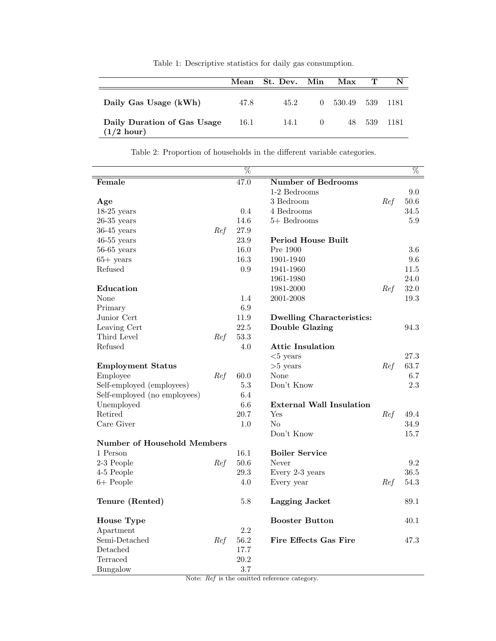|                                                     |      | Mean St. Dev. Min |                  | Max          | т   |      |
|-----------------------------------------------------|------|-------------------|------------------|--------------|-----|------|
| Daily Gas Usage (kWh)                               | 47.8 | 45.2              |                  | 0 530.49 539 |     | 1181 |
| Daily Duration of Gas Usage<br>$(1/2 \text{ hour})$ | 16.1 | 14.1              | $\left( \right)$ | 48.          | 539 | 1181 |

Table 1: Descriptive statistics for daily gas consumption.

Table 2: Proportion of households in the different variable categories.

|                                    |     | $\overline{\%}$ |                                  |     | $\overline{\%}$ |
|------------------------------------|-----|-----------------|----------------------------------|-----|-----------------|
| Female                             |     | 47.0            | <b>Number of Bedrooms</b>        |     |                 |
|                                    |     |                 | 1-2 Bedrooms                     |     | 9.0             |
| Age                                |     |                 | 3 Bedroom                        | Ref | 50.6            |
| $18-25$ years                      |     | 0.4             | 4 Bedrooms                       |     | 34.5            |
| $26-35$ years                      |     | 14.6            | 5+ Bedrooms                      |     | 5.9             |
| $36-45$ years                      | Ref | 27.9            |                                  |     |                 |
| $46-55$ years                      |     | 23.9            | <b>Period House Built</b>        |     |                 |
| $56-65$ years                      |     | 16.0            | Pre 1900                         |     | 3.6             |
| $65+$ years                        |     | 16.3            | 1901-1940                        |     | 9.6             |
| Refused                            |     | 0.9             | 1941-1960                        |     | 11.5            |
|                                    |     |                 | 1961-1980                        |     | 24.0            |
| Education                          |     |                 | 1981-2000                        | Ref | 32.0            |
| None                               |     | 1.4             | 2001-2008                        |     | 19.3            |
| Primary                            |     | 6.9             |                                  |     |                 |
| Junior Cert                        |     | 11.9            | <b>Dwelling Characteristics:</b> |     |                 |
| Leaving Cert                       |     | 22.5            | <b>Double Glazing</b>            |     | 94.3            |
| Third Level                        | Ref | 53.3            |                                  |     |                 |
| Refused                            |     | 4.0             | <b>Attic Insulation</b>          |     |                 |
|                                    |     |                 | $<5$ years                       |     | 27.3            |
| <b>Employment Status</b>           |     |                 | $>5$ years                       | Ref | 63.7            |
| Employee                           | Ref | 60.0            | None                             |     | 6.7             |
| Self-employed (employees)          |     | 5.3             | Don't Know                       |     | 2.3             |
| Self-employed (no employees)       |     | 6.4             |                                  |     |                 |
| Unemployed                         |     | 6.6             | External Wall Insulation         |     |                 |
| Retired                            |     | 20.7            | Yes                              | Ref | 49.4            |
| Care Giver                         |     | 1.0             | No                               |     | 34.9            |
|                                    |     |                 | Don't Know                       |     | 15.7            |
| <b>Number of Household Members</b> |     |                 |                                  |     |                 |
| 1 Person                           |     | 16.1            | <b>Boiler Service</b>            |     |                 |
| 2-3 People                         | Ref | 50.6            | Never                            |     | 9.2             |
| 4-5 People                         |     | 29.3            | Every 2-3 years                  |     | 36.5            |
| $6+$ People                        |     | 4.0             | Every year                       | Ref | 54.3            |
| Tenure (Rented)                    |     | 5.8             | <b>Lagging Jacket</b>            |     | 89.1            |
| <b>House Type</b>                  |     |                 | <b>Booster Button</b>            |     | 40.1            |
| Apartment                          |     | 2.2             |                                  |     |                 |
| Semi-Detached                      | Ref | 56.2            | Fire Effects Gas Fire            |     | 47.3            |
| Detached                           |     | 17.7            |                                  |     |                 |
| Terraced                           |     | 20.2            |                                  |     |                 |
| Bungalow                           |     | 3.7             |                                  |     |                 |

Note: Ref is the omitted reference category.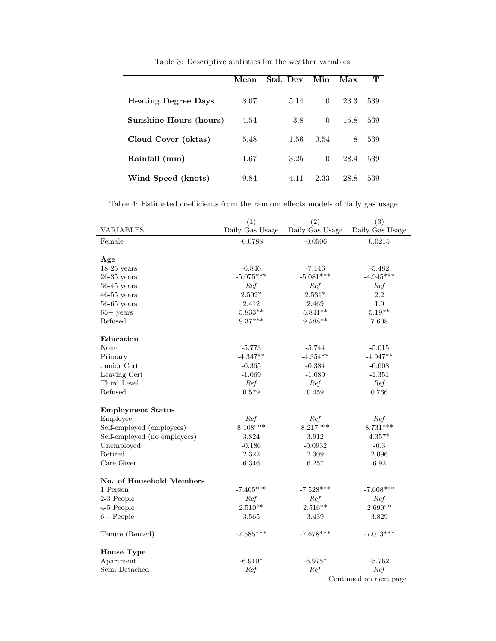|                            | Mean | Std. Dev | Min      | Max  | т   |
|----------------------------|------|----------|----------|------|-----|
| <b>Heating Degree Days</b> | 8.07 | 5.14     | $\Omega$ | 23.3 | 539 |
| Sunshine Hours (hours)     | 4.54 | 3.8      | $\Omega$ | 15.8 | 539 |
| Cloud Cover (oktas)        | 5.48 | 1.56     | 0.54     | 8    | 539 |
| Rainfall (mm)              | 1.67 | 3.25     | $\Omega$ | 28.4 | 539 |
| Wind Speed (knots)         | 9.84 | 4.11     | 2.33     | 28.8 | 539 |

Table 3: Descriptive statistics for the weather variables.

Table 4: Estimated coefficients from the random effects models of daily gas usage

|                              | (1)             | (2)             | (3)             |
|------------------------------|-----------------|-----------------|-----------------|
| <b>VARIABLES</b>             | Daily Gas Usage | Daily Gas Usage | Daily Gas Usage |
| Female                       | $-0.0788$       | $-0.0506$       | 0.0215          |
| Age                          |                 |                 |                 |
| $18-25$ years                | $-6.846$        | $-7.146$        | $-5.482$        |
| $26-35$ years                | $-5.075***$     | $-5.081***$     | $-4.945***$     |
| $36-45$ years                | Ref             | Ref             | Ref             |
| $46-55$ years                | $2.502*$        | $2.531*$        | 2.2             |
| $56-65$ years                | 2.412           | 2.469           | 1.9             |
| $65+$ years                  | $5.833**$       | $5.841**$       | $5.197*$        |
| Refused                      | $9.377**$       | $9.588**$       | 7.608           |
| Education                    |                 |                 |                 |
| None                         | $-5.773$        | $-5.744$        | $-5.015$        |
| Primary                      | $-4.347**$      | $-4.354**$      | $-4.947**$      |
| Junior Cert                  | $-0.365$        | $-0.384$        | $-0.608$        |
| Leaving Cert                 | $-1.069$        | $-1.089$        | $-1.351$        |
| Third Level                  | Ref             | Ref             | Ref             |
| Refused                      | 0.579           | 0.459           | 0.766           |
| <b>Employment Status</b>     |                 |                 |                 |
| Employee                     | Ref             | Ref             | Ref             |
| Self-employed (employees)    | $8.108***$      | $8.217***$      | $8.731***$      |
| Self-employed (no employees) | 3.824           | 3.912           | $4.357*$        |
| Unemployed                   | $-0.186$        | $-0.0932$       | $-0.3$          |
| Retired                      | 2.322           | 2.309           | 2.096           |
| Care Giver                   | 6.346           | 6.257           | 6.92            |
| No. of Household Members     |                 |                 |                 |
| 1 Person                     | $-7.465***$     | $-7.528***$     | $-7.608***$     |
| 2-3 People                   | Ref             | Ref             | Ref             |
| 4-5 People                   | $2.510**$       | $2.516**$       | $2.690**$       |
| 6+ People                    | 3.565           | 3.439           | 3.829           |
| Tenure (Rented)              | $-7.585***$     | $-7.678***$     | $-7.013***$     |
| House Type                   |                 |                 |                 |
| Apartment                    | $-6.910*$       | $-6.975*$       | $-5.762$        |
| Semi-Detached                | Ref             | Ref             | Ref             |

Continued on next page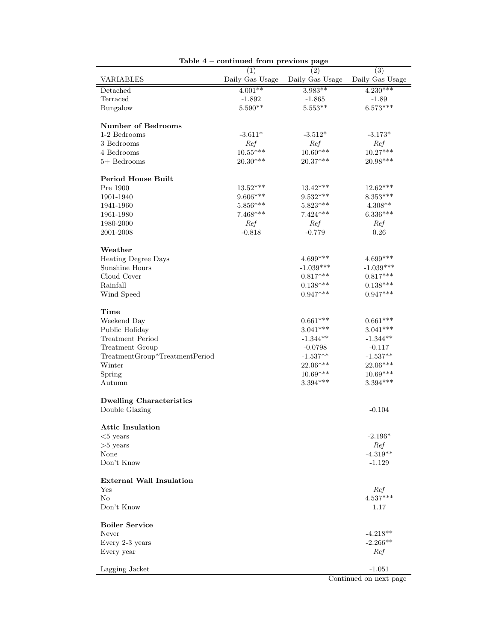|                                 | (1)                      | (2)                      | (3)                    |
|---------------------------------|--------------------------|--------------------------|------------------------|
| VARIABLES                       | Daily Gas Usage          | Daily Gas Usage          | Daily Gas Usage        |
| Detached                        | $4.001**$                | $3.983**$                | $4.230***$             |
| Terraced                        | $-1.892$                 | $-1.865$                 | $-1.89$                |
| Bungalow                        | $5.590**$                | $5.553**$                | $6.573***$             |
| <b>Number of Bedrooms</b>       |                          |                          |                        |
| 1-2 Bedrooms                    | $-3.611*$                | $-3.512*$                | $-3.173*$              |
|                                 |                          |                          |                        |
| 3 Bedrooms                      | Ref                      | Ref                      | Ref                    |
| 4 Bedrooms<br>5+ Bedrooms       | $10.55***$<br>$20.30***$ | $10.60***$<br>$20.37***$ | $10.27***$<br>20.98*** |
|                                 |                          |                          |                        |
| Period House Built              |                          |                          |                        |
| Pre 1900                        | $13.52***$               | $13.42***$               | $12.62***$             |
| 1901-1940                       | $9.606***$               | $9.532***$               | $8.353***$             |
| 1941-1960                       | $5.856***$               | $5.823***$               | $4.308**$              |
| 1961-1980                       | $7.468***$               | $7.424***$               | $6.336***$             |
| 1980-2000                       | Ref                      | Ref                      | Ref                    |
| 2001-2008                       | $-0.818$                 | $-0.779$                 | 0.26                   |
| Weather                         |                          |                          |                        |
| <b>Heating Degree Days</b>      |                          | $4.699***$               | $4.699***$             |
| Sunshine Hours                  |                          | $-1.039***$              | $-1.039***$            |
| Cloud Cover                     |                          | $0.817***$               | $0.817***$             |
| Rainfall                        |                          | $0.138***$               | $0.138***$             |
| Wind Speed                      |                          | $0.947***$               | $0.947***$             |
|                                 |                          |                          |                        |
| <b>Time</b>                     |                          |                          |                        |
| Weekend Day                     |                          | $0.661***$               | $0.661***$             |
| Public Holiday                  |                          | $3.041***$               | $3.041***$             |
| <b>Treatment Period</b>         |                          | $-1.344**$               | $-1.344**$             |
| Treatment Group                 |                          | $-0.0798$                | $-0.117$               |
| TreatmentGroup*TreatmentPeriod  |                          | $-1.537**$               | $-1.537**$             |
| Winter                          |                          | 22.06***                 | 22.06***               |
| Spring                          |                          | $10.69***$               | $10.69***$             |
| Autumn                          |                          | $3.394***$               | $3.394***$             |
| <b>Dwelling Characteristics</b> |                          |                          |                        |
| Double Glazing                  |                          |                          | $-0.104$               |
| <b>Attic Insulation</b>         |                          |                          |                        |
| $<$ 5 years                     |                          |                          | $-2.196*$              |
| $>5$ years                      |                          |                          | Ref                    |
| None                            |                          |                          | $-4.319**$             |
| Don't Know                      |                          |                          | $-1.129$               |
| <b>External Wall Insulation</b> |                          |                          |                        |
| Yes                             |                          |                          | Ref                    |
| No                              |                          |                          | $4.537***$             |
| Don't Know                      |                          |                          | 1.17                   |
|                                 |                          |                          |                        |
| <b>Boiler Service</b>           |                          |                          |                        |
| Never                           |                          |                          | $-4.218**$             |
| Every 2-3 years                 |                          |                          | $-2.266**$             |
| Every year                      |                          |                          | Ref                    |
| Lagging Jacket                  |                          |                          | $-1.051$               |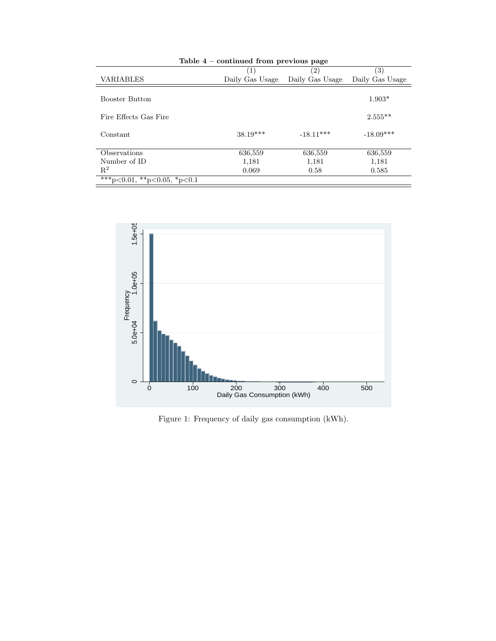| Table $4$ – continued from previous page |                 |                   |                   |  |  |
|------------------------------------------|-----------------|-------------------|-------------------|--|--|
|                                          | (1)             | $\left( 2\right)$ | $\left( 3\right)$ |  |  |
| <b>VARIABLES</b>                         | Daily Gas Usage | Daily Gas Usage   | Daily Gas Usage   |  |  |
| Booster Button                           |                 |                   | $1.903*$          |  |  |
| Fire Effects Gas Fire                    |                 |                   | $2.555**$         |  |  |
| Constant                                 | $38.19***$      | $-18.11***$       | $-18.09***$       |  |  |
| Observations                             | 636,559         | 636,559           | 636,559           |  |  |
| Number of ID                             | 1,181           | 1,181             | 1,181             |  |  |
| $\mathbb{R}^2$                           | 0.069           | 0.58              | 0.585             |  |  |
| $**p<0.01$ , $*p<0.05$ , $*p<0.1$        |                 |                   |                   |  |  |



Figure 1: Frequency of daily gas consumption (kWh).